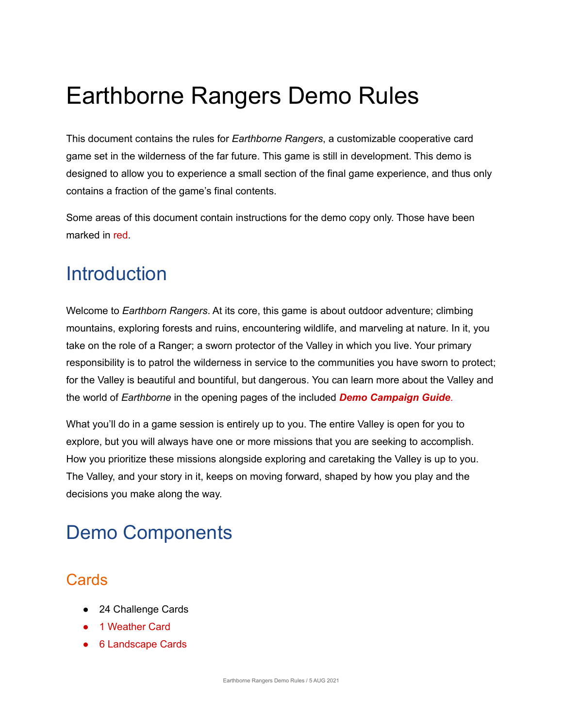# Earthborne Rangers Demo Rules

This document contains the rules for *Earthborne Rangers*, a customizable cooperative card game set in the wilderness of the far future. This game is still in development. This demo is designed to allow you to experience a small section of the final game experience, and thus only contains a fraction of the game's final contents.

Some areas of this document contain instructions for the demo copy only. Those have been marked in red.

# **Introduction**

Welcome to *Earthborn Rangers*. At its core, this game is about outdoor adventure; climbing mountains, exploring forests and ruins, encountering wildlife, and marveling at nature. In it, you take on the role of a Ranger; a sworn protector of the Valley in which you live. Your primary responsibility is to patrol the wilderness in service to the communities you have sworn to protect; for the Valley is beautiful and bountiful, but dangerous. You can learn more about the Valley and the world of *Earthborne* in the opening pages of the included *Demo Campaign Guide*.

What you'll do in a game session is entirely up to you. The entire Valley is open for you to explore, but you will always have one or more missions that you are seeking to accomplish. How you prioritize these missions alongside exploring and caretaking the Valley is up to you. The Valley, and your story in it, keeps on moving forward, shaped by how you play and the decisions you make along the way.

# Demo Components

## **Cards**

- 24 Challenge Cards
- 1 Weather Card
- 6 Landscape Cards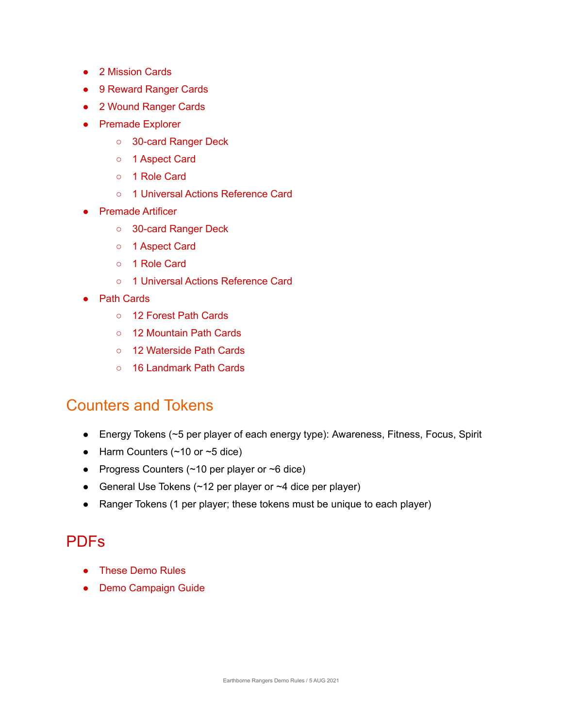- 2 Mission Cards
- 9 Reward Ranger Cards
- 2 Wound Ranger Cards
- Premade Explorer
	- 30-card Ranger Deck
	- 1 Aspect Card
	- 1 Role Card
	- 1 Universal Actions Reference Card
- **Premade Artificer** 
	- 30-card Ranger Deck
	- 1 Aspect Card
	- 1 Role Card
	- 1 Universal Actions Reference Card
- Path Cards
	- 12 Forest Path Cards
	- 12 Mountain Path Cards
	- 12 Waterside Path Cards
	- 16 Landmark Path Cards

### Counters and Tokens

- Energy Tokens (~5 per player of each energy type): Awareness, Fitness, Focus, Spirit
- Harm Counters  $($  ~10 or ~5 dice)
- Progress Counters  $($  ~10 per player or  $\sim$ 6 dice)
- General Use Tokens  $($   $~12$  per player or  $~14$  dice per player)
- Ranger Tokens (1 per player; these tokens must be unique to each player)

## PDFs

- These Demo Rules
- Demo Campaign Guide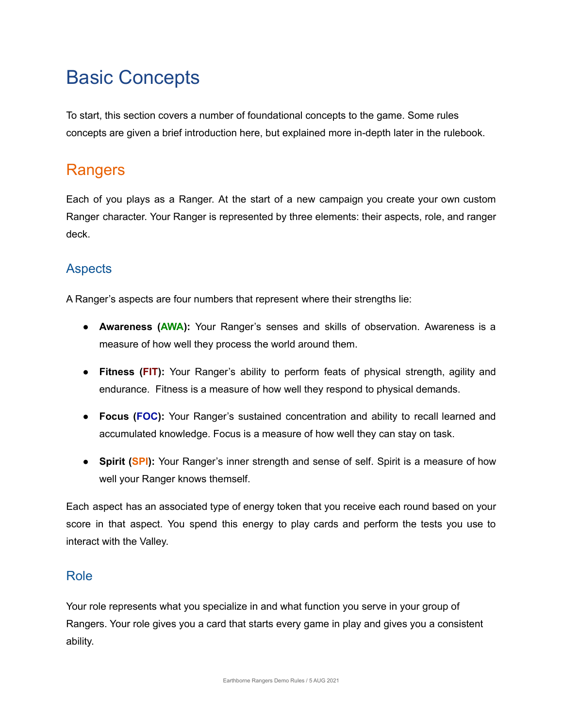# Basic Concepts

To start, this section covers a number of foundational concepts to the game. Some rules concepts are given a brief introduction here, but explained more in-depth later in the rulebook.

## Rangers

Each of you plays as a Ranger. At the start of a new campaign you create your own custom Ranger character. Your Ranger is represented by three elements: their aspects, role, and ranger deck.

#### **Aspects**

A Ranger's aspects are four numbers that represent where their strengths lie:

- **Awareness (AWA):** Your Ranger's senses and skills of observation. Awareness is a measure of how well they process the world around them.
- **Fitness (FIT):** Your Ranger's ability to perform feats of physical strength, agility and endurance. Fitness is a measure of how well they respond to physical demands.
- **Focus (FOC):** Your Ranger's sustained concentration and ability to recall learned and accumulated knowledge. Focus is a measure of how well they can stay on task.
- **• Spirit (SPI):** Your Ranger's inner strength and sense of self. Spirit is a measure of how well your Ranger knows themself.

Each aspect has an associated type of energy token that you receive each round based on your score in that aspect. You spend this energy to play cards and perform the tests you use to interact with the Valley.

#### Role

Your role represents what you specialize in and what function you serve in your group of Rangers. Your role gives you a card that starts every game in play and gives you a consistent ability.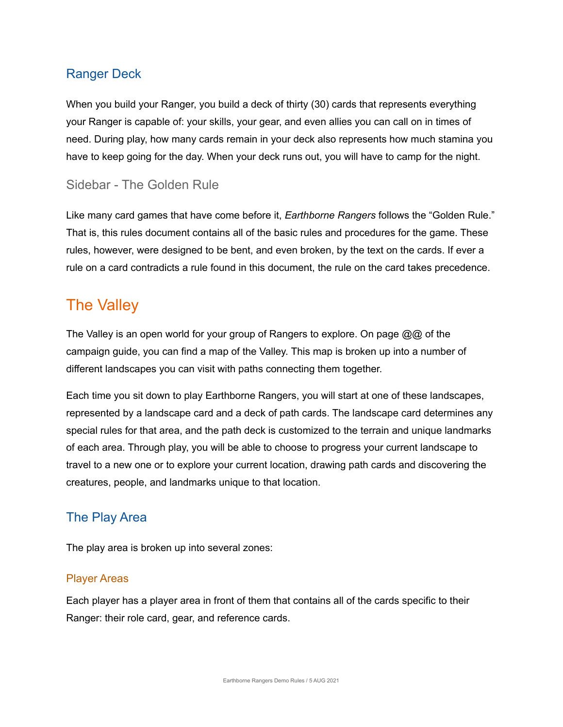#### Ranger Deck

When you build your Ranger, you build a deck of thirty (30) cards that represents everything your Ranger is capable of: your skills, your gear, and even allies you can call on in times of need. During play, how many cards remain in your deck also represents how much stamina you have to keep going for the day. When your deck runs out, you will have to camp for the night.

#### Sidebar - The Golden Rule

Like many card games that have come before it, *Earthborne Rangers* follows the "Golden Rule." That is, this rules document contains all of the basic rules and procedures for the game. These rules, however, were designed to be bent, and even broken, by the text on the cards. If ever a rule on a card contradicts a rule found in this document, the rule on the card takes precedence.

## The Valley

The Valley is an open world for your group of Rangers to explore. On page @@ of the campaign guide, you can find a map of the Valley. This map is broken up into a number of different landscapes you can visit with paths connecting them together.

Each time you sit down to play Earthborne Rangers, you will start at one of these landscapes, represented by a landscape card and a deck of path cards. The landscape card determines any special rules for that area, and the path deck is customized to the terrain and unique landmarks of each area. Through play, you will be able to choose to progress your current landscape to travel to a new one or to explore your current location, drawing path cards and discovering the creatures, people, and landmarks unique to that location.

#### The Play Area

The play area is broken up into several zones:

#### Player Areas

Each player has a player area in front of them that contains all of the cards specific to their Ranger: their role card, gear, and reference cards.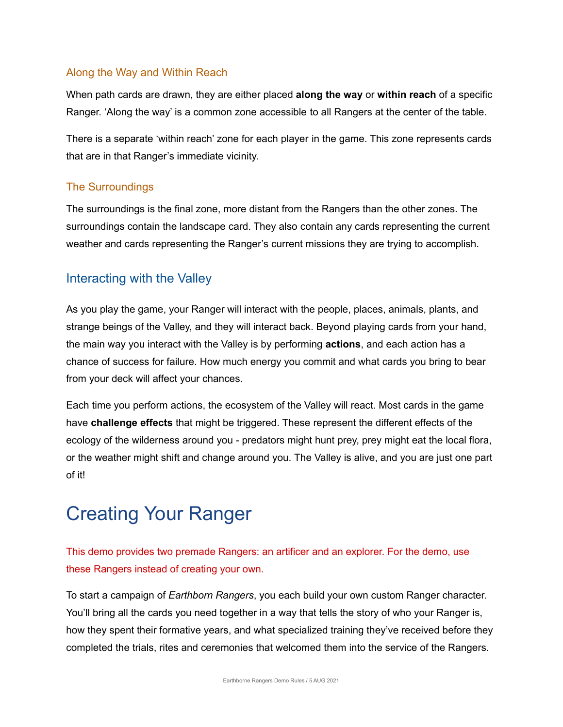#### Along the Way and Within Reach

When path cards are drawn, they are either placed **along the way** or **within reach** of a specific Ranger. 'Along the way' is a common zone accessible to all Rangers at the center of the table.

There is a separate 'within reach' zone for each player in the game. This zone represents cards that are in that Ranger's immediate vicinity.

#### The Surroundings

The surroundings is the final zone, more distant from the Rangers than the other zones. The surroundings contain the landscape card. They also contain any cards representing the current weather and cards representing the Ranger's current missions they are trying to accomplish.

#### Interacting with the Valley

As you play the game, your Ranger will interact with the people, places, animals, plants, and strange beings of the Valley, and they will interact back. Beyond playing cards from your hand, the main way you interact with the Valley is by performing **actions**, and each action has a chance of success for failure. How much energy you commit and what cards you bring to bear from your deck will affect your chances.

Each time you perform actions, the ecosystem of the Valley will react. Most cards in the game have **challenge effects** that might be triggered. These represent the different effects of the ecology of the wilderness around you - predators might hunt prey, prey might eat the local flora, or the weather might shift and change around you. The Valley is alive, and you are just one part of it!

# Creating Your Ranger

This demo provides two premade Rangers: an artificer and an explorer. For the demo, use these Rangers instead of creating your own.

To start a campaign of *Earthborn Rangers*, you each build your own custom Ranger character. You'll bring all the cards you need together in a way that tells the story of who your Ranger is, how they spent their formative years, and what specialized training they've received before they completed the trials, rites and ceremonies that welcomed them into the service of the Rangers.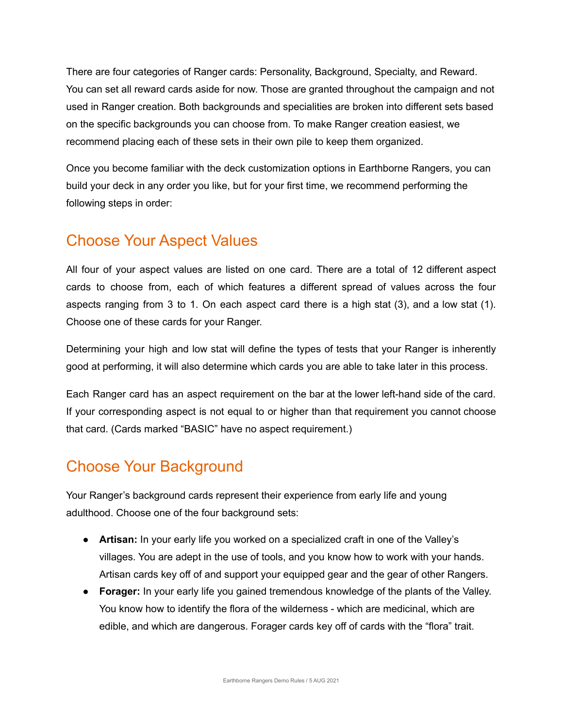There are four categories of Ranger cards: Personality, Background, Specialty, and Reward. You can set all reward cards aside for now. Those are granted throughout the campaign and not used in Ranger creation. Both backgrounds and specialities are broken into different sets based on the specific backgrounds you can choose from. To make Ranger creation easiest, we recommend placing each of these sets in their own pile to keep them organized.

Once you become familiar with the deck customization options in Earthborne Rangers, you can build your deck in any order you like, but for your first time, we recommend performing the following steps in order:

## Choose Your Aspect Values

All four of your aspect values are listed on one card. There are a total of 12 different aspect cards to choose from, each of which features a different spread of values across the four aspects ranging from 3 to 1. On each aspect card there is a high stat (3), and a low stat (1). Choose one of these cards for your Ranger.

Determining your high and low stat will define the types of tests that your Ranger is inherently good at performing, it will also determine which cards you are able to take later in this process.

Each Ranger card has an aspect requirement on the bar at the lower left-hand side of the card. If your corresponding aspect is not equal to or higher than that requirement you cannot choose that card. (Cards marked "BASIC" have no aspect requirement.)

## Choose Your Background

Your Ranger's background cards represent their experience from early life and young adulthood. Choose one of the four background sets:

- **Artisan:** In your early life you worked on a specialized craft in one of the Valley's villages. You are adept in the use of tools, and you know how to work with your hands. Artisan cards key off of and support your equipped gear and the gear of other Rangers.
- **Forager:** In your early life you gained tremendous knowledge of the plants of the Valley. You know how to identify the flora of the wilderness - which are medicinal, which are edible, and which are dangerous. Forager cards key off of cards with the "flora" trait.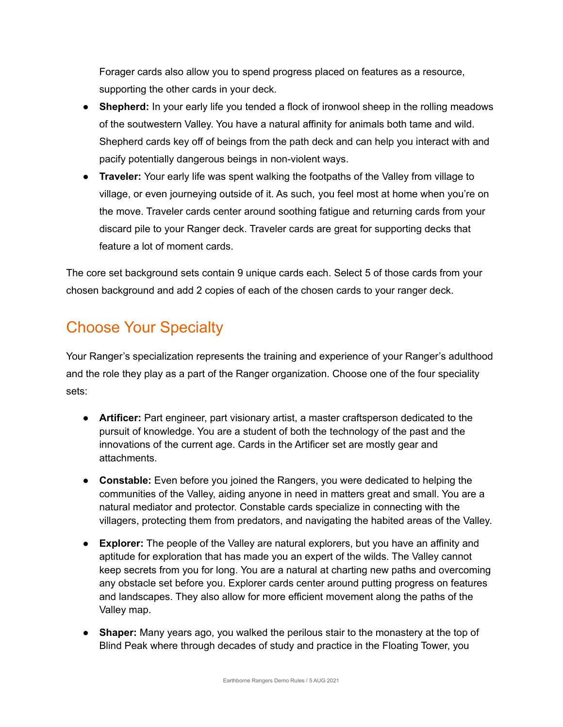Forager cards also allow you to spend progress placed on features as a resource, supporting the other cards in your deck.

- **Shepherd:** In your early life you tended a flock of ironwool sheep in the rolling meadows of the soutwestern Valley. You have a natural affinity for animals both tame and wild. Shepherd cards key off of beings from the path deck and can help you interact with and pacify potentially dangerous beings in non-violent ways.
- **Traveler:** Your early life was spent walking the footpaths of the Valley from village to village, or even journeying outside of it. As such, you feel most at home when you're on the move. Traveler cards center around soothing fatigue and returning cards from your discard pile to your Ranger deck. Traveler cards are great for supporting decks that feature a lot of moment cards.

The core set background sets contain 9 unique cards each. Select 5 of those cards from your chosen background and add 2 copies of each of the chosen cards to your ranger deck.

## Choose Your Specialty

Your Ranger's specialization represents the training and experience of your Ranger's adulthood and the role they play as a part of the Ranger organization. Choose one of the four speciality sets:

- **Artificer:** Part engineer, part visionary artist, a master craftsperson dedicated to the pursuit of knowledge. You are a student of both the technology of the past and the innovations of the current age. Cards in the Artificer set are mostly gear and attachments.
- **Constable:** Even before you joined the Rangers, you were dedicated to helping the communities of the Valley, aiding anyone in need in matters great and small. You are a natural mediator and protector. Constable cards specialize in connecting with the villagers, protecting them from predators, and navigating the habited areas of the Valley.
- **Explorer:** The people of the Valley are natural explorers, but you have an affinity and aptitude for exploration that has made you an expert of the wilds. The Valley cannot keep secrets from you for long. You are a natural at charting new paths and overcoming any obstacle set before you. Explorer cards center around putting progress on features and landscapes. They also allow for more efficient movement along the paths of the Valley map.
- **Shaper:** Many years ago, you walked the perilous stair to the monastery at the top of Blind Peak where through decades of study and practice in the Floating Tower, you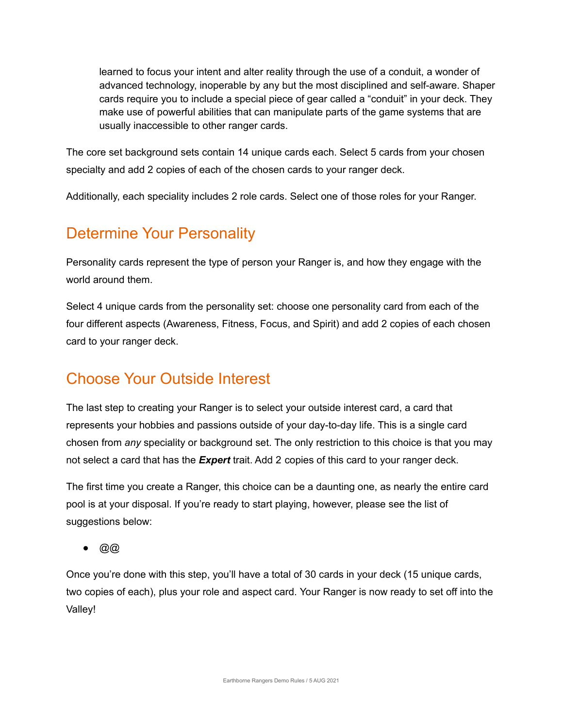learned to focus your intent and alter reality through the use of a conduit, a wonder of advanced technology, inoperable by any but the most disciplined and self-aware. Shaper cards require you to include a special piece of gear called a "conduit" in your deck. They make use of powerful abilities that can manipulate parts of the game systems that are usually inaccessible to other ranger cards.

The core set background sets contain 14 unique cards each. Select 5 cards from your chosen specialty and add 2 copies of each of the chosen cards to your ranger deck.

Additionally, each speciality includes 2 role cards. Select one of those roles for your Ranger.

## Determine Your Personality

Personality cards represent the type of person your Ranger is, and how they engage with the world around them.

Select 4 unique cards from the personality set: choose one personality card from each of the four different aspects (Awareness, Fitness, Focus, and Spirit) and add 2 copies of each chosen card to your ranger deck.

## Choose Your Outside Interest

The last step to creating your Ranger is to select your outside interest card, a card that represents your hobbies and passions outside of your day-to-day life. This is a single card chosen from *any* speciality or background set. The only restriction to this choice is that you may not select a card that has the *Expert* trait. Add 2 copies of this card to your ranger deck.

The first time you create a Ranger, this choice can be a daunting one, as nearly the entire card pool is at your disposal. If you're ready to start playing, however, please see the list of suggestions below:

● @@

Once you're done with this step, you'll have a total of 30 cards in your deck (15 unique cards, two copies of each), plus your role and aspect card. Your Ranger is now ready to set off into the Valley!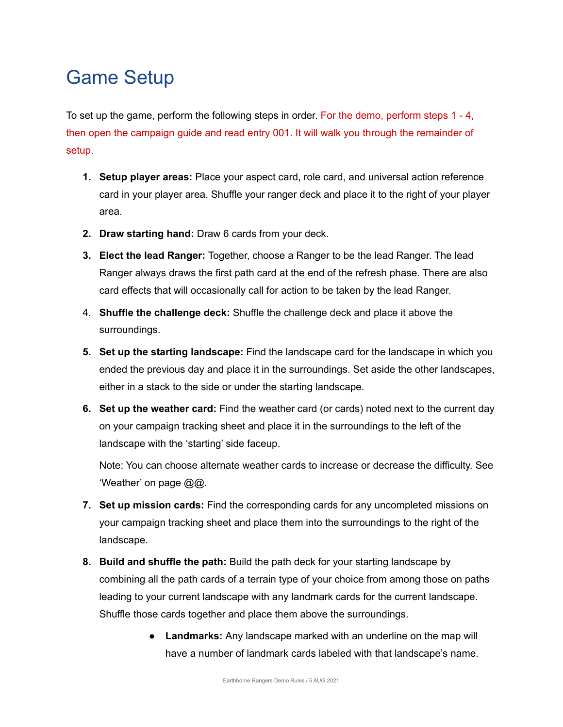# Game Setup

To set up the game, perform the following steps in order. For the demo, perform steps 1 - 4, then open the campaign guide and read entry 001. It will walk you through the remainder of setup.

- **1. Setup player areas:** Place your aspect card, role card, and universal action reference card in your player area. Shuffle your ranger deck and place it to the right of your player area.
- **2. Draw starting hand:** Draw 6 cards from your deck.
- **3. Elect the lead Ranger:** Together, choose a Ranger to be the lead Ranger. The lead Ranger always draws the first path card at the end of the refresh phase. There are also card effects that will occasionally call for action to be taken by the lead Ranger.
- 4. **Shuffle the challenge deck:** Shuffle the challenge deck and place it above the surroundings.
- **5. Set up the starting landscape:** Find the landscape card for the landscape in which you ended the previous day and place it in the surroundings. Set aside the other landscapes, either in a stack to the side or under the starting landscape.
- **6. Set up the weather card:** Find the weather card (or cards) noted next to the current day on your campaign tracking sheet and place it in the surroundings to the left of the landscape with the 'starting' side faceup.

Note: You can choose alternate weather cards to increase or decrease the difficulty. See 'Weather' on page @@.

- **7. Set up mission cards:** Find the corresponding cards for any uncompleted missions on your campaign tracking sheet and place them into the surroundings to the right of the landscape.
- **8. Build and shuffle the path:** Build the path deck for your starting landscape by combining all the path cards of a terrain type of your choice from among those on paths leading to your current landscape with any landmark cards for the current landscape. Shuffle those cards together and place them above the surroundings.
	- **Landmarks:** Any landscape marked with an underline on the map will have a number of landmark cards labeled with that landscape's name.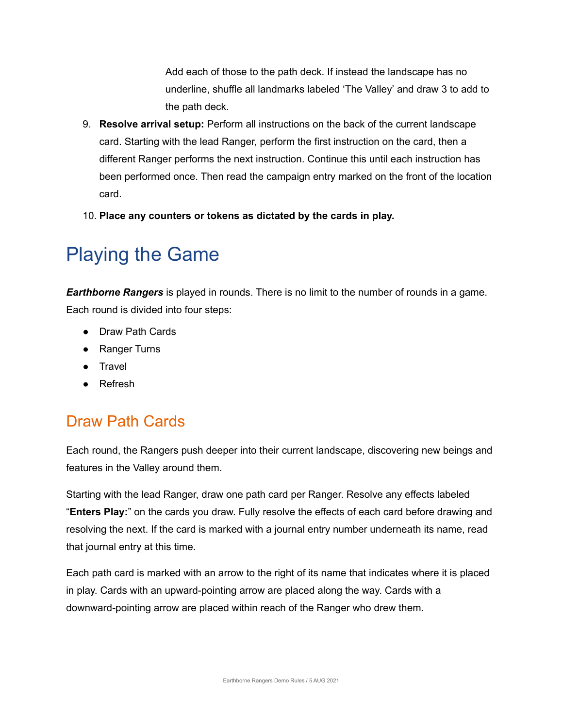Add each of those to the path deck. If instead the landscape has no underline, shuffle all landmarks labeled 'The Valley' and draw 3 to add to the path deck.

- 9. **Resolve arrival setup:** Perform all instructions on the back of the current landscape card. Starting with the lead Ranger, perform the first instruction on the card, then a different Ranger performs the next instruction. Continue this until each instruction has been performed once. Then read the campaign entry marked on the front of the location card.
- 10. **Place any counters or tokens as dictated by the cards in play.**

# Playing the Game

*Earthborne Rangers* is played in rounds. There is no limit to the number of rounds in a game. Each round is divided into four steps:

- Draw Path Cards
- Ranger Turns
- Travel
- Refresh

## Draw Path Cards

Each round, the Rangers push deeper into their current landscape, discovering new beings and features in the Valley around them.

Starting with the lead Ranger, draw one path card per Ranger. Resolve any effects labeled "**Enters Play:**" on the cards you draw. Fully resolve the effects of each card before drawing and resolving the next. If the card is marked with a journal entry number underneath its name, read that journal entry at this time.

Each path card is marked with an arrow to the right of its name that indicates where it is placed in play. Cards with an upward-pointing arrow are placed along the way. Cards with a downward-pointing arrow are placed within reach of the Ranger who drew them.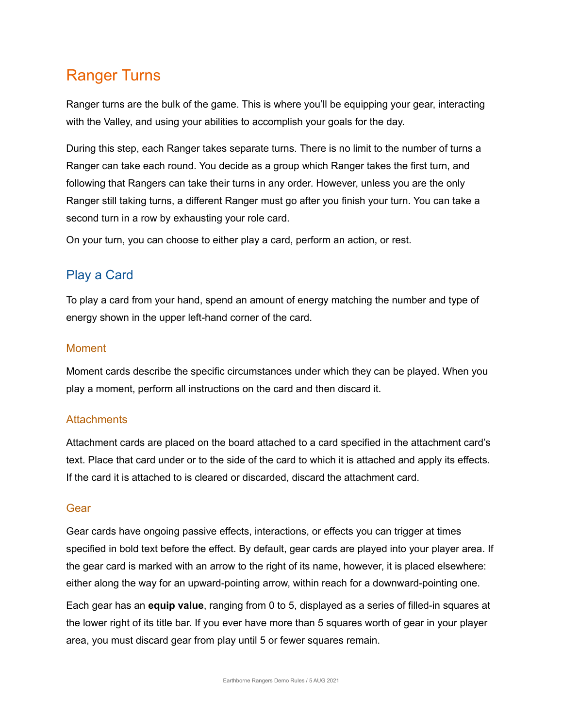# Ranger Turns

Ranger turns are the bulk of the game. This is where you'll be equipping your gear, interacting with the Valley, and using your abilities to accomplish your goals for the day.

During this step, each Ranger takes separate turns. There is no limit to the number of turns a Ranger can take each round. You decide as a group which Ranger takes the first turn, and following that Rangers can take their turns in any order. However, unless you are the only Ranger still taking turns, a different Ranger must go after you finish your turn. You can take a second turn in a row by exhausting your role card.

On your turn, you can choose to either play a card, perform an action, or rest.

#### Play a Card

To play a card from your hand, spend an amount of energy matching the number and type of energy shown in the upper left-hand corner of the card.

#### **Moment**

Moment cards describe the specific circumstances under which they can be played. When you play a moment, perform all instructions on the card and then discard it.

#### **Attachments**

Attachment cards are placed on the board attached to a card specified in the attachment card's text. Place that card under or to the side of the card to which it is attached and apply its effects. If the card it is attached to is cleared or discarded, discard the attachment card.

#### **Gear**

Gear cards have ongoing passive effects, interactions, or effects you can trigger at times specified in bold text before the effect. By default, gear cards are played into your player area. If the gear card is marked with an arrow to the right of its name, however, it is placed elsewhere: either along the way for an upward-pointing arrow, within reach for a downward-pointing one.

Each gear has an **equip value**, ranging from 0 to 5, displayed as a series of filled-in squares at the lower right of its title bar. If you ever have more than 5 squares worth of gear in your player area, you must discard gear from play until 5 or fewer squares remain.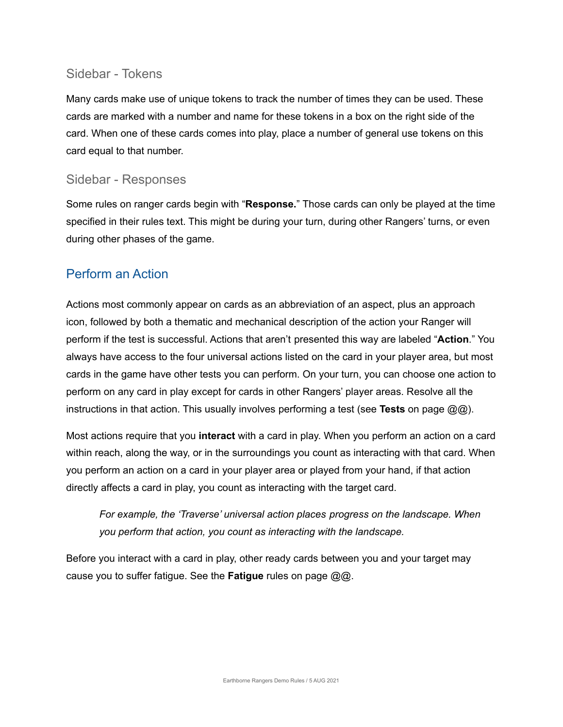#### Sidebar - Tokens

Many cards make use of unique tokens to track the number of times they can be used. These cards are marked with a number and name for these tokens in a box on the right side of the card. When one of these cards comes into play, place a number of general use tokens on this card equal to that number.

#### Sidebar - Responses

Some rules on ranger cards begin with "**Response.**" Those cards can only be played at the time specified in their rules text. This might be during your turn, during other Rangers' turns, or even during other phases of the game.

#### Perform an Action

Actions most commonly appear on cards as an abbreviation of an aspect, plus an approach icon, followed by both a thematic and mechanical description of the action your Ranger will perform if the test is successful. Actions that aren't presented this way are labeled "**Action**." You always have access to the four universal actions listed on the card in your player area, but most cards in the game have other tests you can perform. On your turn, you can choose one action to perform on any card in play except for cards in other Rangers' player areas. Resolve all the instructions in that action. This usually involves performing a test (see **Tests** on page @@).

Most actions require that you **interact** with a card in play. When you perform an action on a card within reach, along the way, or in the surroundings you count as interacting with that card. When you perform an action on a card in your player area or played from your hand, if that action directly affects a card in play, you count as interacting with the target card.

*For example, the 'Traverse' universal action places progress on the landscape. When you perform that action, you count as interacting with the landscape.*

Before you interact with a card in play, other ready cards between you and your target may cause you to suffer fatigue. See the **Fatigue** rules on page @@.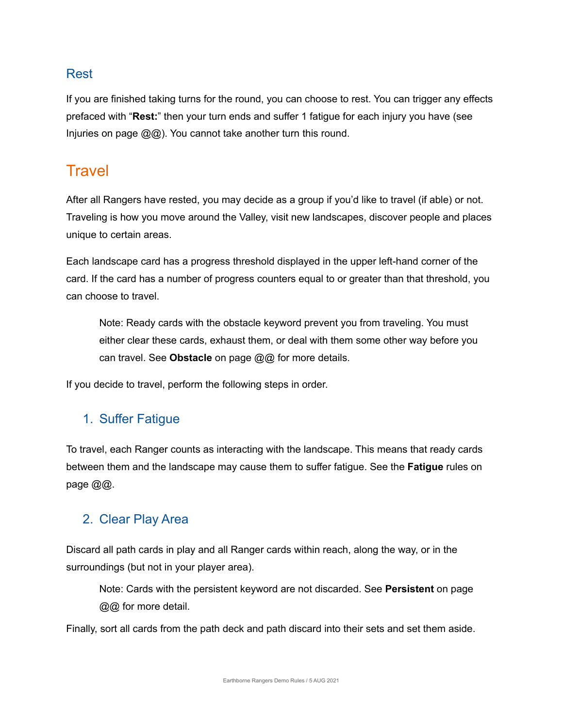#### Rest

If you are finished taking turns for the round, you can choose to rest. You can trigger any effects prefaced with "**Rest:**" then your turn ends and suffer 1 fatigue for each injury you have (see Injuries on page @@). You cannot take another turn this round.

### **Travel**

After all Rangers have rested, you may decide as a group if you'd like to travel (if able) or not. Traveling is how you move around the Valley, visit new landscapes, discover people and places unique to certain areas.

Each landscape card has a progress threshold displayed in the upper left-hand corner of the card. If the card has a number of progress counters equal to or greater than that threshold, you can choose to travel.

Note: Ready cards with the obstacle keyword prevent you from traveling. You must either clear these cards, exhaust them, or deal with them some other way before you can travel. See **Obstacle** on page @@ for more details.

If you decide to travel, perform the following steps in order.

### 1. Suffer Fatigue

To travel, each Ranger counts as interacting with the landscape. This means that ready cards between them and the landscape may cause them to suffer fatigue. See the **Fatigue** rules on page @@.

#### 2. Clear Play Area

Discard all path cards in play and all Ranger cards within reach, along the way, or in the surroundings (but not in your player area).

Note: Cards with the persistent keyword are not discarded. See **Persistent** on page @@ for more detail.

Finally, sort all cards from the path deck and path discard into their sets and set them aside.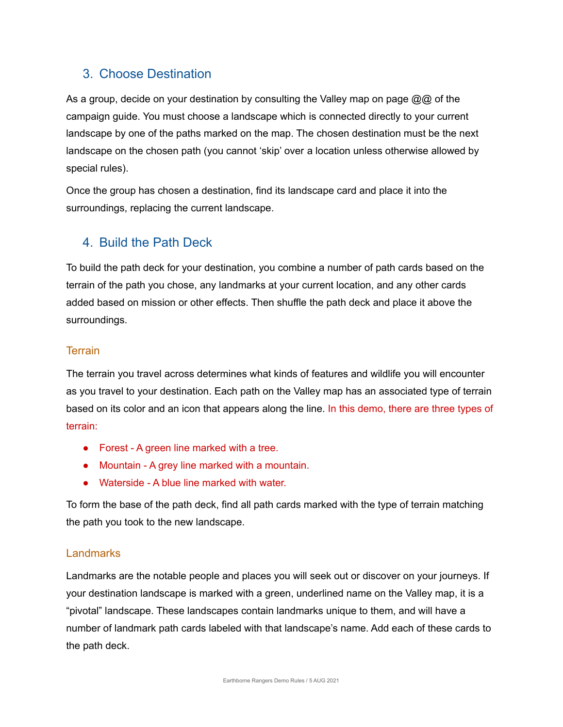#### 3. Choose Destination

As a group, decide on your destination by consulting the Valley map on page @@ of the campaign guide. You must choose a landscape which is connected directly to your current landscape by one of the paths marked on the map. The chosen destination must be the next landscape on the chosen path (you cannot 'skip' over a location unless otherwise allowed by special rules).

Once the group has chosen a destination, find its landscape card and place it into the surroundings, replacing the current landscape.

#### 4. Build the Path Deck

To build the path deck for your destination, you combine a number of path cards based on the terrain of the path you chose, any landmarks at your current location, and any other cards added based on mission or other effects. Then shuffle the path deck and place it above the surroundings.

#### **Terrain**

The terrain you travel across determines what kinds of features and wildlife you will encounter as you travel to your destination. Each path on the Valley map has an associated type of terrain based on its color and an icon that appears along the line. In this demo, there are three types of terrain:

- Forest A green line marked with a tree.
- Mountain A grey line marked with a mountain.
- Waterside A blue line marked with water

To form the base of the path deck, find all path cards marked with the type of terrain matching the path you took to the new landscape.

#### Landmarks

Landmarks are the notable people and places you will seek out or discover on your journeys. If your destination landscape is marked with a green, underlined name on the Valley map, it is a "pivotal" landscape. These landscapes contain landmarks unique to them, and will have a number of landmark path cards labeled with that landscape's name. Add each of these cards to the path deck.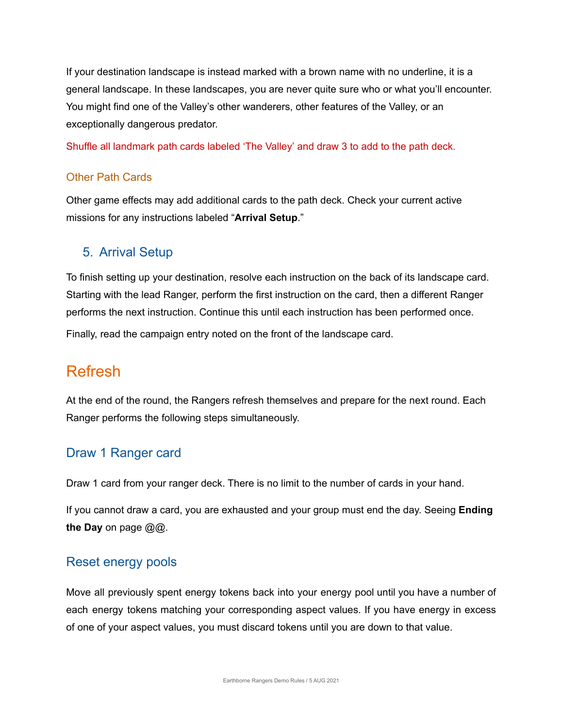If your destination landscape is instead marked with a brown name with no underline, it is a general landscape. In these landscapes, you are never quite sure who or what you'll encounter. You might find one of the Valley's other wanderers, other features of the Valley, or an exceptionally dangerous predator.

Shuffle all landmark path cards labeled 'The Valley' and draw 3 to add to the path deck.

#### Other Path Cards

Other game effects may add additional cards to the path deck. Check your current active missions for any instructions labeled "**Arrival Setup**."

#### 5. Arrival Setup

To finish setting up your destination, resolve each instruction on the back of its landscape card. Starting with the lead Ranger, perform the first instruction on the card, then a different Ranger performs the next instruction. Continue this until each instruction has been performed once. Finally, read the campaign entry noted on the front of the landscape card.

### Refresh

At the end of the round, the Rangers refresh themselves and prepare for the next round. Each Ranger performs the following steps simultaneously.

#### Draw 1 Ranger card

Draw 1 card from your ranger deck. There is no limit to the number of cards in your hand.

If you cannot draw a card, you are exhausted and your group must end the day. Seeing **Ending the Day** on page @@.

#### Reset energy pools

Move all previously spent energy tokens back into your energy pool until you have a number of each energy tokens matching your corresponding aspect values. If you have energy in excess of one of your aspect values, you must discard tokens until you are down to that value.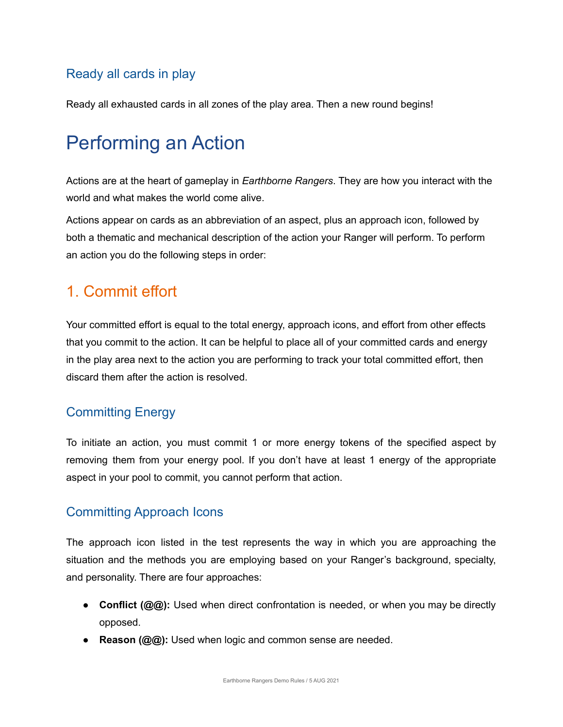#### Ready all cards in play

Ready all exhausted cards in all zones of the play area. Then a new round begins!

# Performing an Action

Actions are at the heart of gameplay in *Earthborne Rangers*. They are how you interact with the world and what makes the world come alive.

Actions appear on cards as an abbreviation of an aspect, plus an approach icon, followed by both a thematic and mechanical description of the action your Ranger will perform. To perform an action you do the following steps in order:

### 1. Commit effort

Your committed effort is equal to the total energy, approach icons, and effort from other effects that you commit to the action. It can be helpful to place all of your committed cards and energy in the play area next to the action you are performing to track your total committed effort, then discard them after the action is resolved.

#### Committing Energy

To initiate an action, you must commit 1 or more energy tokens of the specified aspect by removing them from your energy pool. If you don't have at least 1 energy of the appropriate aspect in your pool to commit, you cannot perform that action.

#### Committing Approach Icons

The approach icon listed in the test represents the way in which you are approaching the situation and the methods you are employing based on your Ranger's background, specialty, and personality. There are four approaches:

- **Conflict (@@):** Used when direct confrontation is needed, or when you may be directly opposed.
- **Reason (@@):** Used when logic and common sense are needed.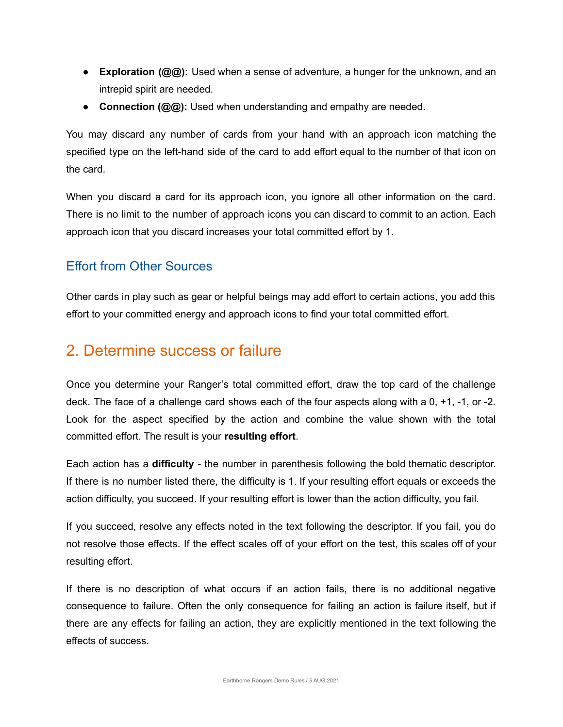- **Exploration (@@):** Used when a sense of adventure, a hunger for the unknown, and an intrepid spirit are needed.
- **Connection (@@):** Used when understanding and empathy are needed.

You may discard any number of cards from your hand with an approach icon matching the specified type on the left-hand side of the card to add effort equal to the number of that icon on the card.

When you discard a card for its approach icon, you ignore all other information on the card. There is no limit to the number of approach icons you can discard to commit to an action. Each approach icon that you discard increases your total committed effort by 1.

#### Effort from Other Sources

Other cards in play such as gear or helpful beings may add effort to certain actions, you add this effort to your committed energy and approach icons to find your total committed effort.

### 2. Determine success or failure

Once you determine your Ranger's total committed effort, draw the top card of the challenge deck. The face of a challenge card shows each of the four aspects along with a 0, +1, -1, or -2. Look for the aspect specified by the action and combine the value shown with the total committed effort. The result is your **resulting effort**.

Each action has a **difficulty** - the number in parenthesis following the bold thematic descriptor. If there is no number listed there, the difficulty is 1. If your resulting effort equals or exceeds the action difficulty, you succeed. If your resulting effort is lower than the action difficulty, you fail.

If you succeed, resolve any effects noted in the text following the descriptor. If you fail, you do not resolve those effects. If the effect scales off of your effort on the test, this scales off of your resulting effort.

If there is no description of what occurs if an action fails, there is no additional negative consequence to failure. Often the only consequence for failing an action is failure itself, but if there are any effects for failing an action, they are explicitly mentioned in the text following the effects of success.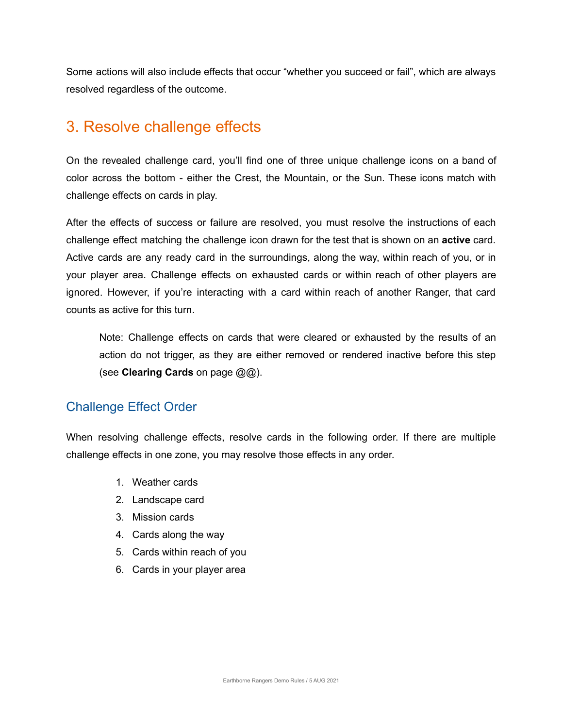Some actions will also include effects that occur "whether you succeed or fail", which are always resolved regardless of the outcome.

## 3. Resolve challenge effects

On the revealed challenge card, you'll find one of three unique challenge icons on a band of color across the bottom - either the Crest, the Mountain, or the Sun. These icons match with challenge effects on cards in play.

After the effects of success or failure are resolved, you must resolve the instructions of each challenge effect matching the challenge icon drawn for the test that is shown on an **active** card. Active cards are any ready card in the surroundings, along the way, within reach of you, or in your player area. Challenge effects on exhausted cards or within reach of other players are ignored. However, if you're interacting with a card within reach of another Ranger, that card counts as active for this turn.

Note: Challenge effects on cards that were cleared or exhausted by the results of an action do not trigger, as they are either removed or rendered inactive before this step (see **Clearing Cards** on page @@).

#### Challenge Effect Order

When resolving challenge effects, resolve cards in the following order. If there are multiple challenge effects in one zone, you may resolve those effects in any order.

- 1. Weather cards
- 2. Landscape card
- 3. Mission cards
- 4. Cards along the way
- 5. Cards within reach of you
- 6. Cards in your player area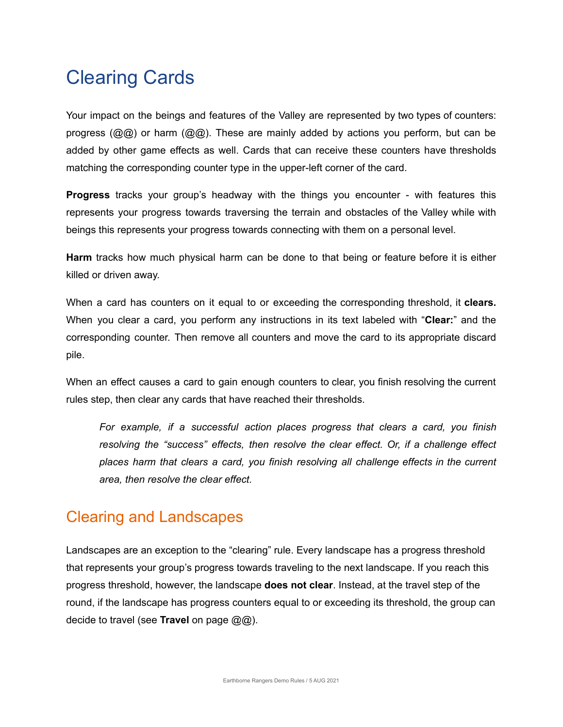# Clearing Cards

Your impact on the beings and features of the Valley are represented by two types of counters: progress ( $\mathcal{Q}(\mathcal{Q})$ ) or harm ( $\mathcal{Q}(\mathcal{Q})$ ). These are mainly added by actions you perform, but can be added by other game effects as well. Cards that can receive these counters have thresholds matching the corresponding counter type in the upper-left corner of the card.

**Progress** tracks your group's headway with the things you encounter - with features this represents your progress towards traversing the terrain and obstacles of the Valley while with beings this represents your progress towards connecting with them on a personal level.

**Harm** tracks how much physical harm can be done to that being or feature before it is either killed or driven away.

When a card has counters on it equal to or exceeding the corresponding threshold, it **clears.** When you clear a card, you perform any instructions in its text labeled with "**Clear:**" and the corresponding counter. Then remove all counters and move the card to its appropriate discard pile.

When an effect causes a card to gain enough counters to clear, you finish resolving the current rules step, then clear any cards that have reached their thresholds.

*For example, if a successful action places progress that clears a card, you finish resolving the "success" effects, then resolve the clear effect. Or, if a challenge effect places harm that clears a card, you finish resolving all challenge effects in the current area, then resolve the clear effect.*

## Clearing and Landscapes

Landscapes are an exception to the "clearing" rule. Every landscape has a progress threshold that represents your group's progress towards traveling to the next landscape. If you reach this progress threshold, however, the landscape **does not clear**. Instead, at the travel step of the round, if the landscape has progress counters equal to or exceeding its threshold, the group can decide to travel (see **Travel** on page  $@@@$ ).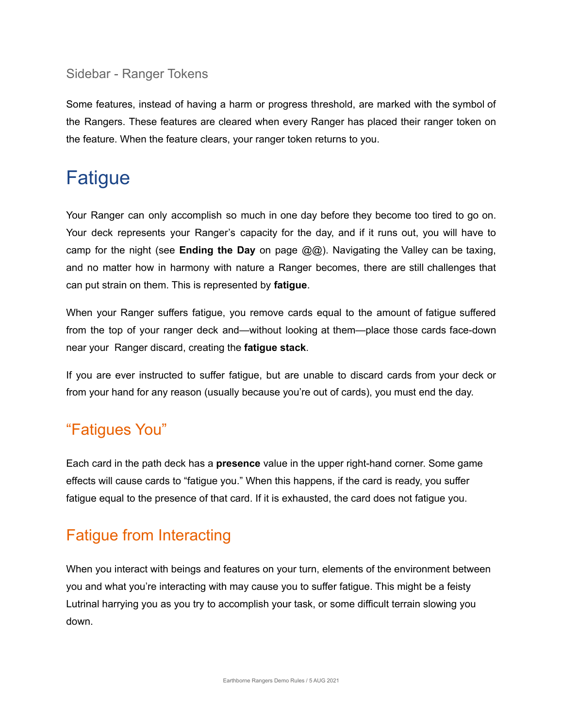#### Sidebar - Ranger Tokens

Some features, instead of having a harm or progress threshold, are marked with the symbol of the Rangers. These features are cleared when every Ranger has placed their ranger token on the feature. When the feature clears, your ranger token returns to you.

# Fatigue

Your Ranger can only accomplish so much in one day before they become too tired to go on. Your deck represents your Ranger's capacity for the day, and if it runs out, you will have to camp for the night (see **Ending the Day** on page @@). Navigating the Valley can be taxing, and no matter how in harmony with nature a Ranger becomes, there are still challenges that can put strain on them. This is represented by **fatigue**.

When your Ranger suffers fatigue, you remove cards equal to the amount of fatigue suffered from the top of your ranger deck and—without looking at them—place those cards face-down near your Ranger discard, creating the **fatigue stack**.

If you are ever instructed to suffer fatigue, but are unable to discard cards from your deck or from your hand for any reason (usually because you're out of cards), you must end the day.

## "Fatigues You"

Each card in the path deck has a **presence** value in the upper right-hand corner. Some game effects will cause cards to "fatigue you." When this happens, if the card is ready, you suffer fatigue equal to the presence of that card. If it is exhausted, the card does not fatigue you.

# Fatigue from Interacting

When you interact with beings and features on your turn, elements of the environment between you and what you're interacting with may cause you to suffer fatigue. This might be a feisty Lutrinal harrying you as you try to accomplish your task, or some difficult terrain slowing you down.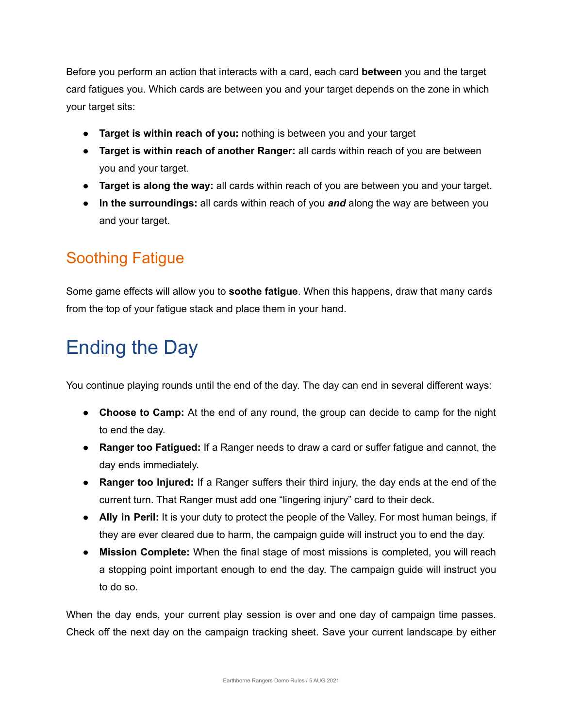Before you perform an action that interacts with a card, each card **between** you and the target card fatigues you. Which cards are between you and your target depends on the zone in which your target sits:

- **Target is within reach of you:** nothing is between you and your target
- **Target is within reach of another Ranger:** all cards within reach of you are between you and your target.
- **Target is along the way:** all cards within reach of you are between you and your target.
- **In the surroundings:** all cards within reach of you *and* along the way are between you and your target.

# Soothing Fatigue

Some game effects will allow you to **soothe fatigue**. When this happens, draw that many cards from the top of your fatigue stack and place them in your hand.

# Ending the Day

You continue playing rounds until the end of the day. The day can end in several different ways:

- **Choose to Camp:** At the end of any round, the group can decide to camp for the night to end the day.
- **Ranger too Fatigued:** If a Ranger needs to draw a card or suffer fatigue and cannot, the day ends immediately.
- **Ranger too Injured:** If a Ranger suffers their third injury, the day ends at the end of the current turn. That Ranger must add one "lingering injury" card to their deck.
- **Ally in Peril:** It is your duty to protect the people of the Valley. For most human beings, if they are ever cleared due to harm, the campaign guide will instruct you to end the day.
- **Mission Complete:** When the final stage of most missions is completed, you will reach a stopping point important enough to end the day. The campaign guide will instruct you to do so.

When the day ends, your current play session is over and one day of campaign time passes. Check off the next day on the campaign tracking sheet. Save your current landscape by either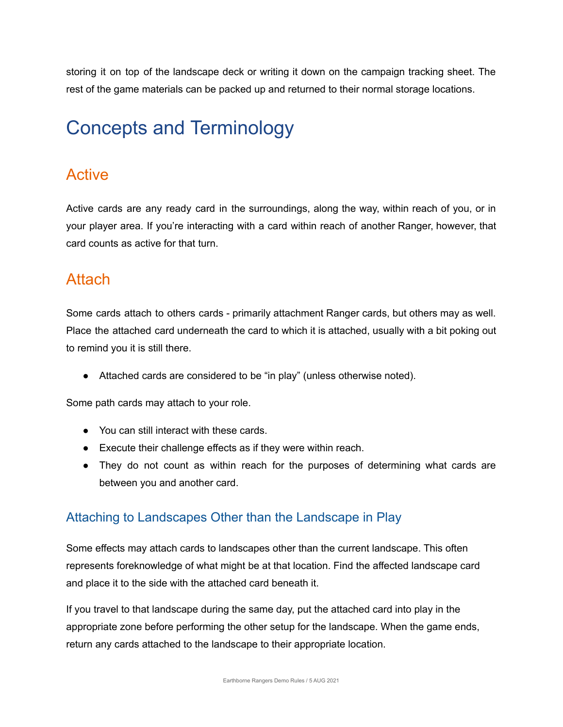storing it on top of the landscape deck or writing it down on the campaign tracking sheet. The rest of the game materials can be packed up and returned to their normal storage locations.

# Concepts and Terminology

### Active

Active cards are any ready card in the surroundings, along the way, within reach of you, or in your player area. If you're interacting with a card within reach of another Ranger, however, that card counts as active for that turn.

### Attach

Some cards attach to others cards - primarily attachment Ranger cards, but others may as well. Place the attached card underneath the card to which it is attached, usually with a bit poking out to remind you it is still there.

● Attached cards are considered to be "in play" (unless otherwise noted).

Some path cards may attach to your role.

- You can still interact with these cards.
- Execute their challenge effects as if they were within reach.
- They do not count as within reach for the purposes of determining what cards are between you and another card.

#### Attaching to Landscapes Other than the Landscape in Play

Some effects may attach cards to landscapes other than the current landscape. This often represents foreknowledge of what might be at that location. Find the affected landscape card and place it to the side with the attached card beneath it.

If you travel to that landscape during the same day, put the attached card into play in the appropriate zone before performing the other setup for the landscape. When the game ends, return any cards attached to the landscape to their appropriate location.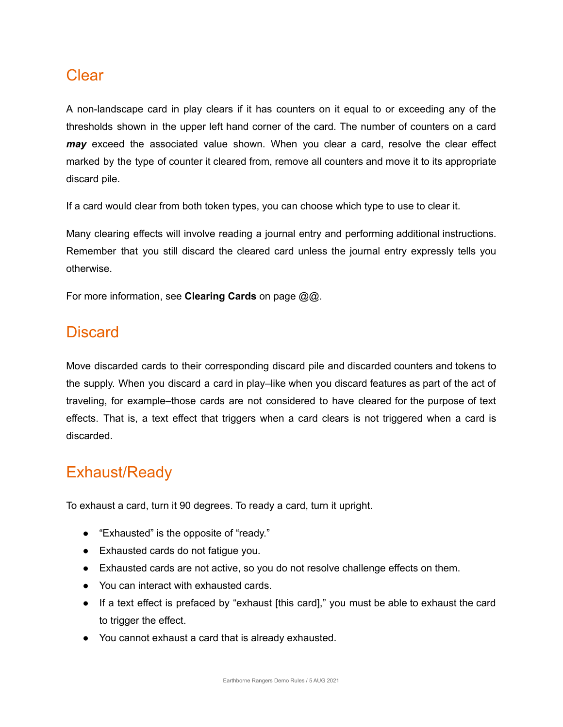#### **Clear**

A non-landscape card in play clears if it has counters on it equal to or exceeding any of the thresholds shown in the upper left hand corner of the card. The number of counters on a card *may* exceed the associated value shown. When you clear a card, resolve the clear effect marked by the type of counter it cleared from, remove all counters and move it to its appropriate discard pile.

If a card would clear from both token types, you can choose which type to use to clear it.

Many clearing effects will involve reading a journal entry and performing additional instructions. Remember that you still discard the cleared card unless the journal entry expressly tells you otherwise.

For more information, see **Clearing Cards** on page @@.

### **Discard**

Move discarded cards to their corresponding discard pile and discarded counters and tokens to the supply. When you discard a card in play–like when you discard features as part of the act of traveling, for example–those cards are not considered to have cleared for the purpose of text effects. That is, a text effect that triggers when a card clears is not triggered when a card is discarded.

## Exhaust/Ready

To exhaust a card, turn it 90 degrees. To ready a card, turn it upright.

- "Exhausted" is the opposite of "ready."
- Exhausted cards do not fatigue you.
- Exhausted cards are not active, so you do not resolve challenge effects on them.
- You can interact with exhausted cards.
- If a text effect is prefaced by "exhaust [this card]," you must be able to exhaust the card to trigger the effect.
- You cannot exhaust a card that is already exhausted.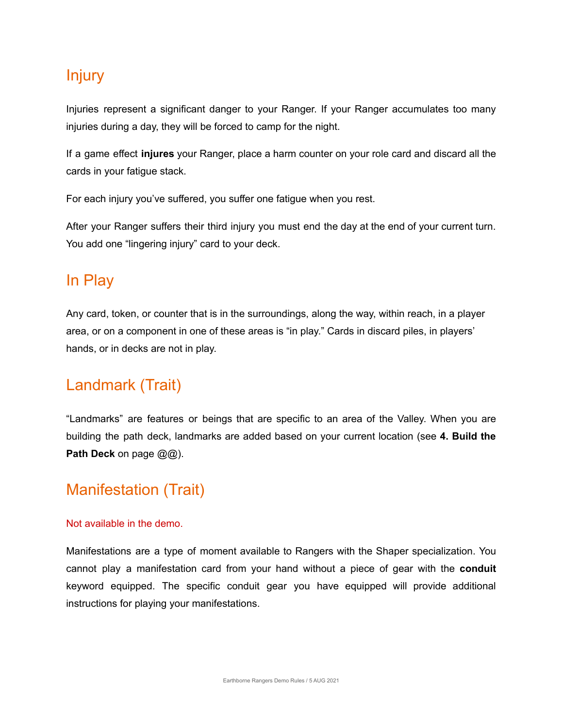### Injury

Injuries represent a significant danger to your Ranger. If your Ranger accumulates too many injuries during a day, they will be forced to camp for the night.

If a game effect **injures** your Ranger, place a harm counter on your role card and discard all the cards in your fatigue stack.

For each injury you've suffered, you suffer one fatigue when you rest.

After your Ranger suffers their third injury you must end the day at the end of your current turn. You add one "lingering injury" card to your deck.

## In Play

Any card, token, or counter that is in the surroundings, along the way, within reach, in a player area, or on a component in one of these areas is "in play." Cards in discard piles, in players' hands, or in decks are not in play.

## Landmark (Trait)

"Landmarks" are features or beings that are specific to an area of the Valley. When you are building the path deck, landmarks are added based on your current location (see **4. Build the Path Deck** on page @@).

## Manifestation (Trait)

#### Not available in the demo.

Manifestations are a type of moment available to Rangers with the Shaper specialization. You cannot play a manifestation card from your hand without a piece of gear with the **conduit** keyword equipped. The specific conduit gear you have equipped will provide additional instructions for playing your manifestations.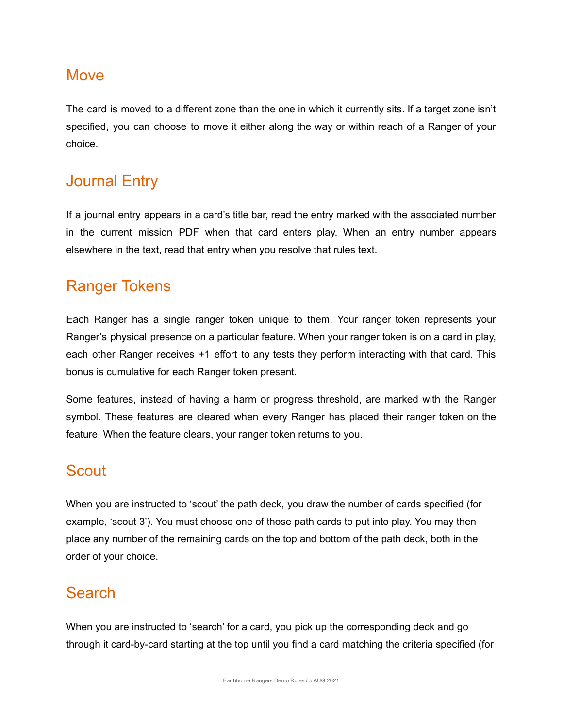#### **Move**

The card is moved to a different zone than the one in which it currently sits. If a target zone isn't specified, you can choose to move it either along the way or within reach of a Ranger of your choice.

### Journal Entry

If a journal entry appears in a card's title bar, read the entry marked with the associated number in the current mission PDF when that card enters play. When an entry number appears elsewhere in the text, read that entry when you resolve that rules text.

## Ranger Tokens

Each Ranger has a single ranger token unique to them. Your ranger token represents your Ranger's physical presence on a particular feature. When your ranger token is on a card in play, each other Ranger receives +1 effort to any tests they perform interacting with that card. This bonus is cumulative for each Ranger token present.

Some features, instead of having a harm or progress threshold, are marked with the Ranger symbol. These features are cleared when every Ranger has placed their ranger token on the feature. When the feature clears, your ranger token returns to you.

## **Scout**

When you are instructed to 'scout' the path deck, you draw the number of cards specified (for example, 'scout 3'). You must choose one of those path cards to put into play. You may then place any number of the remaining cards on the top and bottom of the path deck, both in the order of your choice.

## Search

When you are instructed to 'search' for a card, you pick up the corresponding deck and go through it card-by-card starting at the top until you find a card matching the criteria specified (for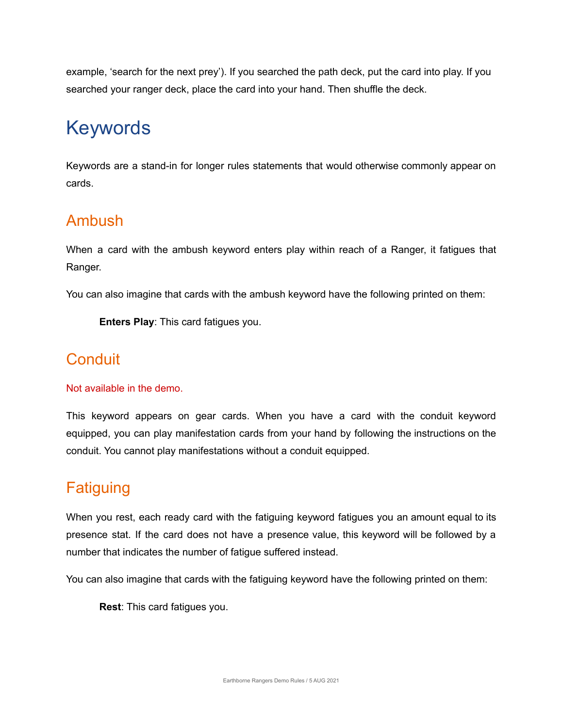example, 'search for the next prey'). If you searched the path deck, put the card into play. If you searched your ranger deck, place the card into your hand. Then shuffle the deck.

# Keywords

Keywords are a stand-in for longer rules statements that would otherwise commonly appear on cards.

## Ambush

When a card with the ambush keyword enters play within reach of a Ranger, it fatigues that Ranger.

You can also imagine that cards with the ambush keyword have the following printed on them:

**Enters Play**: This card fatigues you.

## **Conduit**

#### Not available in the demo.

This keyword appears on gear cards. When you have a card with the conduit keyword equipped, you can play manifestation cards from your hand by following the instructions on the conduit. You cannot play manifestations without a conduit equipped.

## **Fatiguing**

When you rest, each ready card with the fatiguing keyword fatigues you an amount equal to its presence stat. If the card does not have a presence value, this keyword will be followed by a number that indicates the number of fatigue suffered instead.

You can also imagine that cards with the fatiguing keyword have the following printed on them:

**Rest**: This card fatigues you.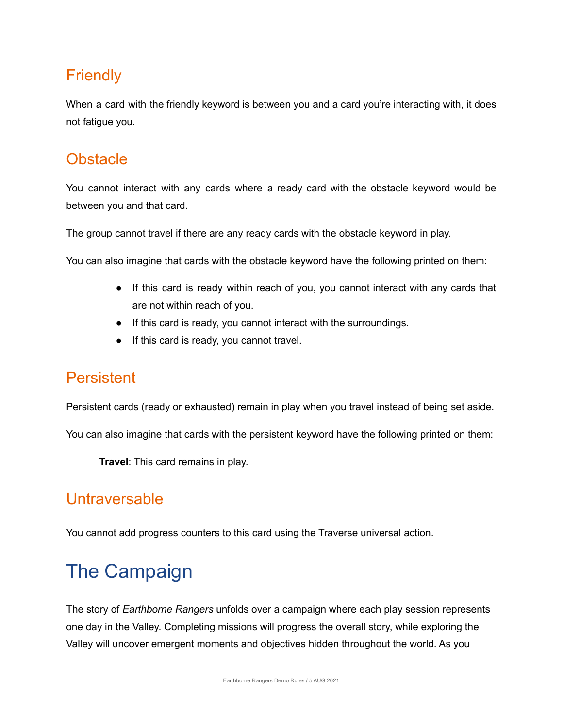## **Friendly**

When a card with the friendly keyword is between you and a card you're interacting with, it does not fatigue you.

## **Obstacle**

You cannot interact with any cards where a ready card with the obstacle keyword would be between you and that card.

The group cannot travel if there are any ready cards with the obstacle keyword in play.

You can also imagine that cards with the obstacle keyword have the following printed on them:

- If this card is ready within reach of you, you cannot interact with any cards that are not within reach of you.
- If this card is ready, you cannot interact with the surroundings.
- If this card is ready, you cannot travel.

## Persistent

Persistent cards (ready or exhausted) remain in play when you travel instead of being set aside.

You can also imagine that cards with the persistent keyword have the following printed on them:

**Travel**: This card remains in play.

## Untraversable

You cannot add progress counters to this card using the Traverse universal action.

# The Campaign

The story of *Earthborne Rangers* unfolds over a campaign where each play session represents one day in the Valley. Completing missions will progress the overall story, while exploring the Valley will uncover emergent moments and objectives hidden throughout the world. As you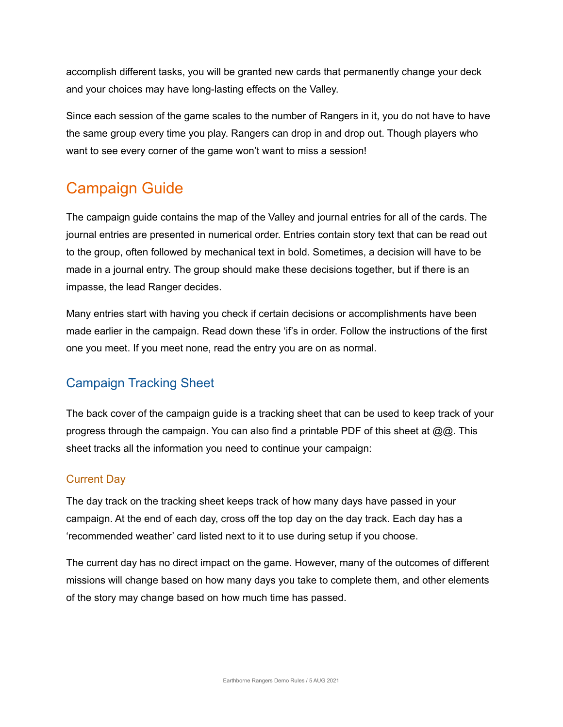accomplish different tasks, you will be granted new cards that permanently change your deck and your choices may have long-lasting effects on the Valley.

Since each session of the game scales to the number of Rangers in it, you do not have to have the same group every time you play. Rangers can drop in and drop out. Though players who want to see every corner of the game won't want to miss a session!

## Campaign Guide

The campaign guide contains the map of the Valley and journal entries for all of the cards. The journal entries are presented in numerical order. Entries contain story text that can be read out to the group, often followed by mechanical text in bold. Sometimes, a decision will have to be made in a journal entry. The group should make these decisions together, but if there is an impasse, the lead Ranger decides.

Many entries start with having you check if certain decisions or accomplishments have been made earlier in the campaign. Read down these 'if's in order. Follow the instructions of the first one you meet. If you meet none, read the entry you are on as normal.

#### Campaign Tracking Sheet

The back cover of the campaign guide is a tracking sheet that can be used to keep track of your progress through the campaign. You can also find a printable PDF of this sheet at  $\mathcal{Q}(\mathcal{Q})$ . This sheet tracks all the information you need to continue your campaign:

#### Current Day

The day track on the tracking sheet keeps track of how many days have passed in your campaign. At the end of each day, cross off the top day on the day track. Each day has a 'recommended weather' card listed next to it to use during setup if you choose.

The current day has no direct impact on the game. However, many of the outcomes of different missions will change based on how many days you take to complete them, and other elements of the story may change based on how much time has passed.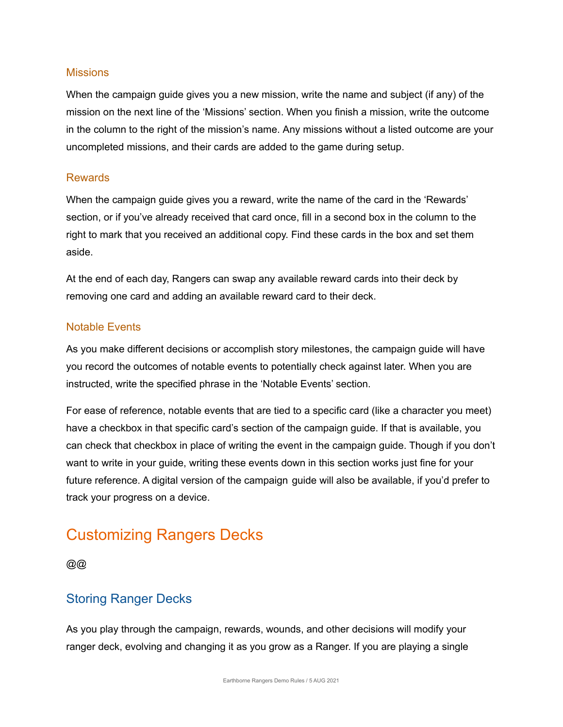#### **Missions**

When the campaign guide gives you a new mission, write the name and subject (if any) of the mission on the next line of the 'Missions' section. When you finish a mission, write the outcome in the column to the right of the mission's name. Any missions without a listed outcome are your uncompleted missions, and their cards are added to the game during setup.

#### Rewards

When the campaign guide gives you a reward, write the name of the card in the 'Rewards' section, or if you've already received that card once, fill in a second box in the column to the right to mark that you received an additional copy. Find these cards in the box and set them aside.

At the end of each day, Rangers can swap any available reward cards into their deck by removing one card and adding an available reward card to their deck.

#### Notable Events

As you make different decisions or accomplish story milestones, the campaign guide will have you record the outcomes of notable events to potentially check against later. When you are instructed, write the specified phrase in the 'Notable Events' section.

For ease of reference, notable events that are tied to a specific card (like a character you meet) have a checkbox in that specific card's section of the campaign guide. If that is available, you can check that checkbox in place of writing the event in the campaign guide. Though if you don't want to write in your guide, writing these events down in this section works just fine for your future reference. A digital version of the campaign guide will also be available, if you'd prefer to track your progress on a device.

## Customizing Rangers Decks

 $@@@$ 

#### Storing Ranger Decks

As you play through the campaign, rewards, wounds, and other decisions will modify your ranger deck, evolving and changing it as you grow as a Ranger. If you are playing a single